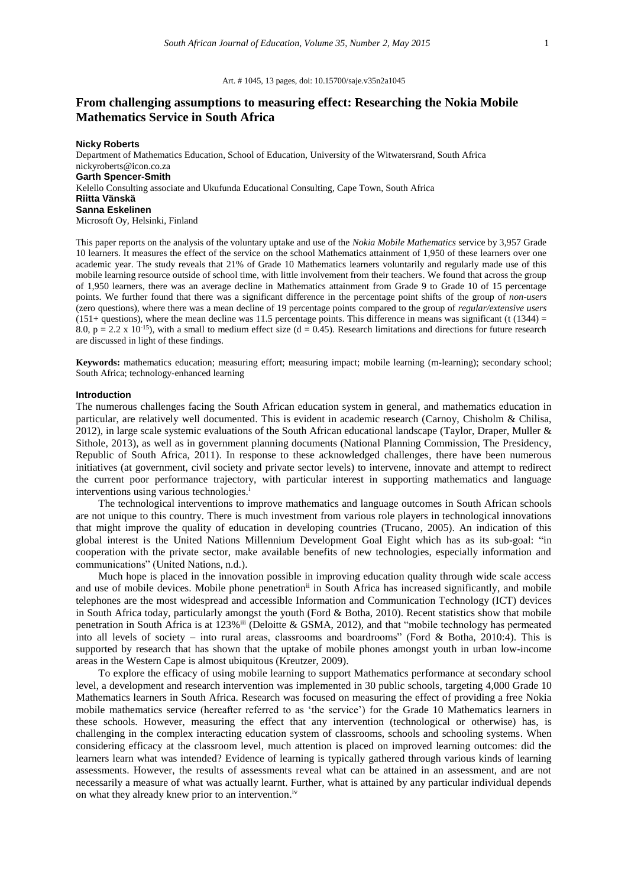### Art. # 1045, 13 pages, doi: 10.15700/saje.v35n2a1045

# **From challenging assumptions to measuring effect: Researching the Nokia Mobile Mathematics Service in South Africa**

**Nicky Roberts** Department of Mathematics Education, School of Education, University of the Witwatersrand, South Africa [nickyroberts@icon.co.za](mailto:nickyroberts@icon.co.za) **Garth Spencer-Smith** Kelello Consulting associate and Ukufunda Educational Consulting, Cape Town, South Africa **Riitta Vänskä Sanna Eskelinen** Microsoft Oy, Helsinki, Finland

This paper reports on the analysis of the voluntary uptake and use of the *Nokia Mobile Mathematics* service by 3,957 Grade 10 learners. It measures the effect of the service on the school Mathematics attainment of 1,950 of these learners over one academic year. The study reveals that 21% of Grade 10 Mathematics learners voluntarily and regularly made use of this mobile learning resource outside of school time, with little involvement from their teachers. We found that across the group of 1,950 learners, there was an average decline in Mathematics attainment from Grade 9 to Grade 10 of 15 percentage points. We further found that there was a significant difference in the percentage point shifts of the group of *non-users* (zero questions), where there was a mean decline of 19 percentage points compared to the group of *regular/extensive users*  $(151 +$  questions), where the mean decline was 11.5 percentage points. This difference in means was significant (t  $(1344)$ ) = 8.0,  $p = 2.2 \times 10^{-15}$ ), with a small to medium effect size (d = 0.45). Research limitations and directions for future research are discussed in light of these findings.

**Keywords:** mathematics education; measuring effort; measuring impact; mobile learning (m-learning); secondary school; South Africa; technology-enhanced learning

### **Introduction**

The numerous challenges facing the South African education system in general, and mathematics education in particular, are relatively well documented. This is evident in academic research (Carnoy, Chisholm & Chilisa, 2012), in large scale systemic evaluations of the South African educational landscape (Taylor, Draper, Muller & Sithole, 2013), as well as in government planning documents (National Planning Commission, The Presidency, Republic of South Africa, 2011). In response to these acknowledged challenges, there have been numerous initiatives (at government, civil society and private sector levels) to intervene, innovate and attempt to redirect the current poor performance trajectory, with particular interest in supporting mathematics and language interventions using various technologies.<sup>i</sup>

The technological interventions to improve mathematics and language outcomes in South African schools are not unique to this country. There is much investment from various role players in technological innovations that might improve the quality of education in developing countries (Trucano, 2005). An indication of this global interest is the United Nations Millennium Development Goal Eight which has as its sub-goal: "in cooperation with the private sector, make available benefits of new technologies, especially information and communications" (United Nations, n.d.).

Much hope is placed in the innovation possible in improving education quality through wide scale access and use of mobile devices. Mobile phone penetration<sup>ii</sup> in South Africa has increased significantly, and mobile telephones are the most widespread and accessible Information and Communication Technology (ICT) devices in South Africa today, particularly amongst the youth (Ford & Botha, 2010). Recent statistics show that mobile penetration in South Africa is at 123%<sup>iii</sup> (Deloitte & GSMA, 2012), and that "mobile technology has permeated into all levels of society – into rural areas, classrooms and boardrooms" (Ford & Botha, 2010:4). This is supported by research that has shown that the uptake of mobile phones amongst youth in urban low-income areas in the Western Cape is almost ubiquitous (Kreutzer, 2009).

To explore the efficacy of using mobile learning to support Mathematics performance at secondary school level, a development and research intervention was implemented in 30 public schools, targeting 4,000 Grade 10 Mathematics learners in South Africa. Research was focused on measuring the effect of providing a free Nokia mobile mathematics service (hereafter referred to as 'the service') for the Grade 10 Mathematics learners in these schools. However, measuring the effect that any intervention (technological or otherwise) has, is challenging in the complex interacting education system of classrooms, schools and schooling systems. When considering efficacy at the classroom level, much attention is placed on improved learning outcomes: did the learners learn what was intended? Evidence of learning is typically gathered through various kinds of learning assessments. However, the results of assessments reveal what can be attained in an assessment, and are not necessarily a measure of what was actually learnt. Further, what is attained by any particular individual depends on what they already knew prior to an intervention.<sup>iv</sup>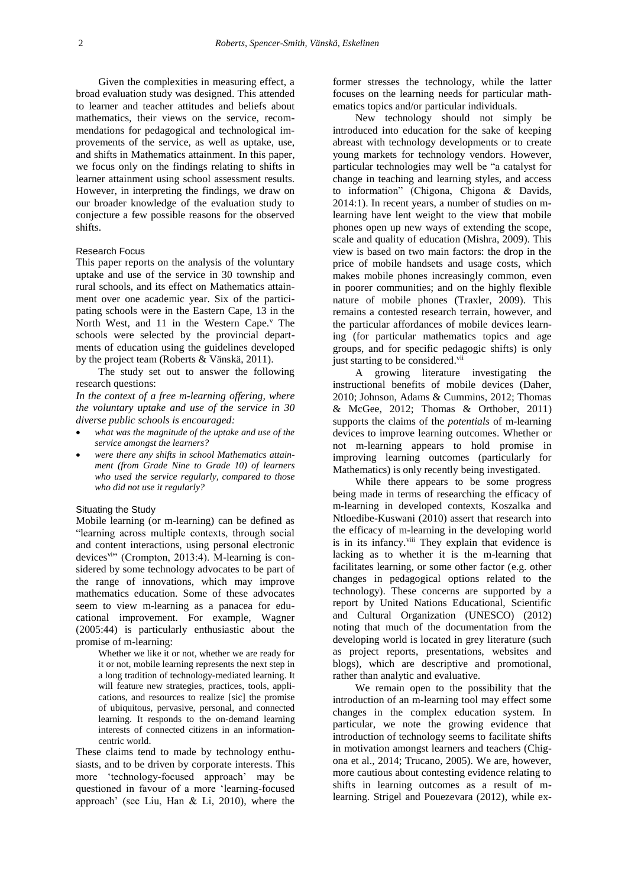Given the complexities in measuring effect, a broad evaluation study was designed. This attended to learner and teacher attitudes and beliefs about mathematics, their views on the service, recommendations for pedagogical and technological improvements of the service, as well as uptake, use, and shifts in Mathematics attainment. In this paper, we focus only on the findings relating to shifts in learner attainment using school assessment results. However, in interpreting the findings, we draw on our broader knowledge of the evaluation study to conjecture a few possible reasons for the observed shifts.

### Research Focus

This paper reports on the analysis of the voluntary uptake and use of the service in 30 township and rural schools, and its effect on Mathematics attainment over one academic year. Six of the participating schools were in the Eastern Cape, 13 in the North West, and 11 in the Western Cape.<sup>v</sup> The schools were selected by the provincial departments of education using the guidelines developed by the project team (Roberts & Vänskä, 2011).

The study set out to answer the following research questions:

*In the context of a free m-learning offering, where the voluntary uptake and use of the service in 30 diverse public schools is encouraged:*

- *what was the magnitude of the uptake and use of the service amongst the learners?*
- *were there any shifts in school Mathematics attainment (from Grade Nine to Grade 10) of learners who used the service regularly, compared to those who did not use it regularly?*

### Situating the Study

Mobile learning (or m-learning) can be defined as "learning across multiple contexts, through social and content interactions, using personal electronic devices<sup>vi</sup>" (Crompton, 2013:4). M-learning is considered by some technology advocates to be part of the range of innovations, which may improve mathematics education. Some of these advocates seem to view m-learning as a panacea for educational improvement. For example, Wagner (2005:44) is particularly enthusiastic about the promise of m-learning:

> Whether we like it or not, whether we are ready for it or not, mobile learning represents the next step in a long tradition of technology-mediated learning. It will feature new strategies, practices, tools, applications, and resources to realize [sic] the promise of ubiquitous, pervasive, personal, and connected learning. It responds to the on-demand learning interests of connected citizens in an informationcentric world.

These claims tend to made by technology enthusiasts, and to be driven by corporate interests. This more 'technology-focused approach' may be questioned in favour of a more 'learning-focused approach' (see Liu, Han & Li, 2010), where the

former stresses the technology, while the latter focuses on the learning needs for particular mathematics topics and/or particular individuals.

New technology should not simply be introduced into education for the sake of keeping abreast with technology developments or to create young markets for technology vendors. However, particular technologies may well be "a catalyst for change in teaching and learning styles, and access to information" (Chigona, Chigona & Davids, 2014:1). In recent years, a number of studies on mlearning have lent weight to the view that mobile phones open up new ways of extending the scope, scale and quality of education (Mishra, 2009). This view is based on two main factors: the drop in the price of mobile handsets and usage costs, which makes mobile phones increasingly common, even in poorer communities; and on the highly flexible nature of mobile phones (Traxler, 2009). This remains a contested research terrain, however, and the particular affordances of mobile devices learning (for particular mathematics topics and age groups, and for specific pedagogic shifts) is only just starting to be considered.<sup>vii</sup>

A growing literature investigating the instructional benefits of mobile devices (Daher, 2010; Johnson, Adams & Cummins, 2012; Thomas & McGee, 2012; Thomas & Orthober, 2011) supports the claims of the *potentials* of m-learning devices to improve learning outcomes. Whether or not m-learning appears to hold promise in improving learning outcomes (particularly for Mathematics) is only recently being investigated.

While there appears to be some progress being made in terms of researching the efficacy of m-learning in developed contexts, Koszalka and Ntloedibe-Kuswani (2010) assert that research into the efficacy of m-learning in the developing world is in its infancy.<sup>viii</sup> They explain that evidence is lacking as to whether it is the m-learning that facilitates learning, or some other factor (e.g. other changes in pedagogical options related to the technology). These concerns are supported by a report by United Nations Educational, Scientific and Cultural Organization (UNESCO) (2012) noting that much of the documentation from the developing world is located in grey literature (such as project reports, presentations, websites and blogs), which are descriptive and promotional, rather than analytic and evaluative.

We remain open to the possibility that the introduction of an m-learning tool may effect some changes in the complex education system. In particular, we note the growing evidence that introduction of technology seems to facilitate shifts in motivation amongst learners and teachers (Chigona et al., 2014; Trucano, 2005). We are, however, more cautious about contesting evidence relating to shifts in learning outcomes as a result of mlearning. Strigel and Pouezevara (2012), while ex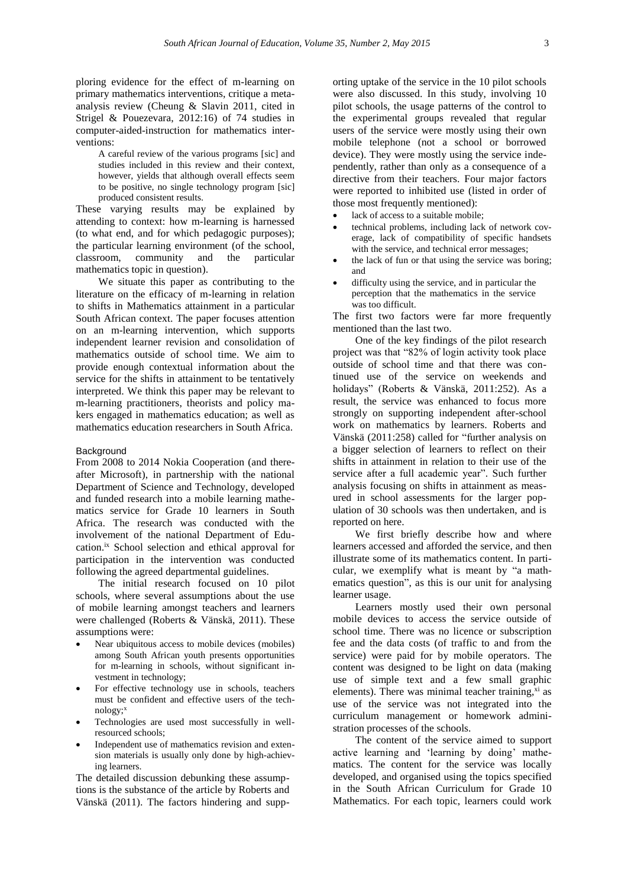ploring evidence for the effect of m-learning on primary mathematics interventions, critique a metaanalysis review (Cheung & Slavin 2011, cited in Strigel & Pouezevara, 2012:16) of 74 studies in computer-aided-instruction for mathematics interventions:

> A careful review of the various programs [sic] and studies included in this review and their context, however, yields that although overall effects seem to be positive, no single technology program [sic] produced consistent results.

These varying results may be explained by attending to context: how m-learning is harnessed (to what end, and for which pedagogic purposes); the particular learning environment (of the school, classroom, community and the particular mathematics topic in question).

We situate this paper as contributing to the literature on the efficacy of m-learning in relation to shifts in Mathematics attainment in a particular South African context. The paper focuses attention on an m-learning intervention, which supports independent learner revision and consolidation of mathematics outside of school time. We aim to provide enough contextual information about the service for the shifts in attainment to be tentatively interpreted. We think this paper may be relevant to m-learning practitioners, theorists and policy makers engaged in mathematics education; as well as mathematics education researchers in South Africa.

#### Background

From 2008 to 2014 Nokia Cooperation (and thereafter Microsoft), in partnership with the national Department of Science and Technology, developed and funded research into a mobile learning mathematics service for Grade 10 learners in South Africa. The research was conducted with the involvement of the national Department of Education. ix School selection and ethical approval for participation in the intervention was conducted following the agreed departmental guidelines.

The initial research focused on 10 pilot schools, where several assumptions about the use of mobile learning amongst teachers and learners were challenged (Roberts & Vänskä, 2011). These assumptions were:

- Near ubiquitous access to mobile devices (mobiles) among South African youth presents opportunities for m-learning in schools, without significant investment in technology;
- For effective technology use in schools, teachers must be confident and effective users of the technology;<sup>x</sup>
- Technologies are used most successfully in wellresourced schools;
- Independent use of mathematics revision and extension materials is usually only done by high-achieving learners.

The detailed discussion debunking these assumptions is the substance of the article by Roberts and Vänskä (2011). The factors hindering and supporting uptake of the service in the 10 pilot schools were also discussed. In this study, involving 10 pilot schools, the usage patterns of the control to the experimental groups revealed that regular users of the service were mostly using their own mobile telephone (not a school or borrowed device). They were mostly using the service independently, rather than only as a consequence of a directive from their teachers. Four major factors were reported to inhibited use (listed in order of those most frequently mentioned):

- lack of access to a suitable mobile;
- technical problems, including lack of network coverage, lack of compatibility of specific handsets with the service, and technical error messages;
- the lack of fun or that using the service was boring; and
- difficulty using the service, and in particular the perception that the mathematics in the service was too difficult.

The first two factors were far more frequently mentioned than the last two.

One of the key findings of the pilot research project was that "82% of login activity took place outside of school time and that there was continued use of the service on weekends and holidays" (Roberts & Vänskä, 2011:252). As a result, the service was enhanced to focus more strongly on supporting independent after-school work on mathematics by learners. Roberts and Vänskä (2011:258) called for "further analysis on a bigger selection of learners to reflect on their shifts in attainment in relation to their use of the service after a full academic year". Such further analysis focusing on shifts in attainment as measured in school assessments for the larger population of 30 schools was then undertaken, and is reported on here.

We first briefly describe how and where learners accessed and afforded the service, and then illustrate some of its mathematics content. In particular, we exemplify what is meant by "a mathematics question", as this is our unit for analysing learner usage.

Learners mostly used their own personal mobile devices to access the service outside of school time. There was no licence or subscription fee and the data costs (of traffic to and from the service) were paid for by mobile operators. The content was designed to be light on data (making use of simple text and a few small graphic elements). There was minimal teacher training, $\dot{x}$  as use of the service was not integrated into the curriculum management or homework administration processes of the schools.

The content of the service aimed to support active learning and 'learning by doing' mathematics. The content for the service was locally developed, and organised using the topics specified in the South African Curriculum for Grade 10 Mathematics. For each topic, learners could work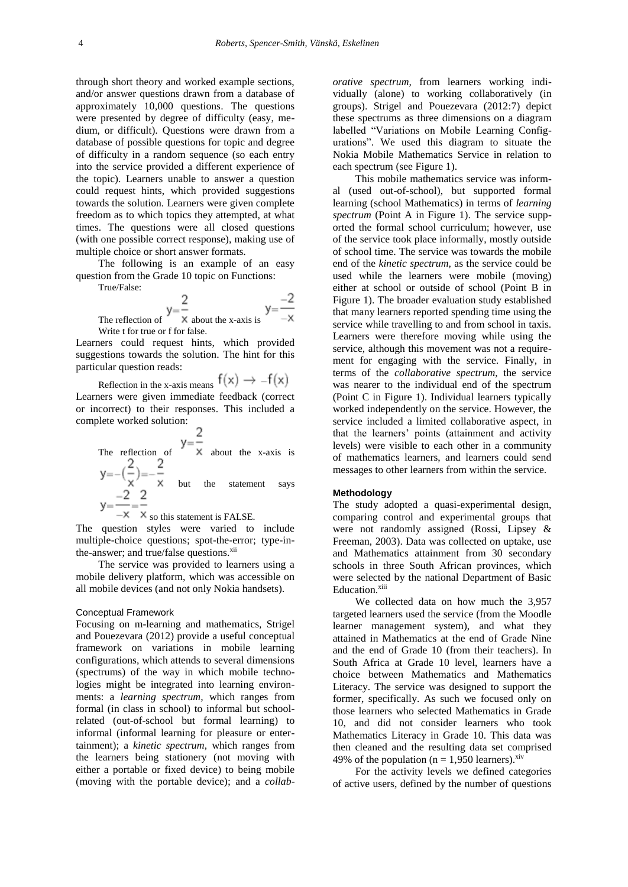through short theory and worked example sections, and/or answer questions drawn from a database of approximately 10,000 questions. The questions were presented by degree of difficulty (easy, medium, or difficult). Questions were drawn from a database of possible questions for topic and degree of difficulty in a random sequence (so each entry into the service provided a different experience of the topic). Learners unable to answer a question could request hints, which provided suggestions towards the solution. Learners were given complete freedom as to which topics they attempted, at what times. The questions were all closed questions (with one possible correct response), making use of multiple choice or short answer formats.

The following is an example of an easy question from the Grade 10 topic on Functions:

True/False:

The reflection of  $y = \frac{2}{x}$  about the x-axis is Write t for true or f for false.

Learners could request hints, which provided suggestions towards the solution. The hint for this particular question reads:

$$
f(x) \to -f(x)
$$

says

Reflection in the x-axis means Learners were given immediate feedback (correct or incorrect) to their responses. This included a complete worked solution:

$$
-2
$$

The reflection of  $y = -x$  about the x-axis is

$$
y=-\left(\frac{2}{x}\right)=-\frac{2}{x}
$$
 but the statement  
-2 2

 $-X \times$  so this statement is FALSE.

The question styles were varied to include multiple-choice questions; spot-the-error; type-inthe-answer; and true/false questions.<sup>xii</sup>

The service was provided to learners using a mobile delivery platform, which was accessible on all mobile devices (and not only Nokia handsets).

### Conceptual Framework

Focusing on m-learning and mathematics, Strigel and Pouezevara (2012) provide a useful conceptual framework on variations in mobile learning configurations, which attends to several dimensions (spectrums) of the way in which mobile technologies might be integrated into learning environments: a *learning spectrum,* which ranges from formal (in class in school) to informal but schoolrelated (out-of-school but formal learning) to informal (informal learning for pleasure or entertainment); a *kinetic spectrum*, which ranges from the learners being stationery (not moving with either a portable or fixed device) to being mobile (moving with the portable device); and a *collab-* *orative spectrum,* from learners working individually (alone) to working collaboratively (in groups). Strigel and Pouezevara (2012:7) depict these spectrums as three dimensions on a diagram labelled "Variations on Mobile Learning Configurations". We used this diagram to situate the Nokia Mobile Mathematics Service in relation to each spectrum (see Figure 1).

This mobile mathematics service was informal (used out-of-school), but supported formal learning (school Mathematics) in terms of *learning spectrum* (Point A in Figure 1). The service supported the formal school curriculum; however, use of the service took place informally, mostly outside of school time. The service was towards the mobile end of the *kinetic spectrum,* as the service could be used while the learners were mobile (moving) either at school or outside of school (Point B in Figure 1). The broader evaluation study established that many learners reported spending time using the service while travelling to and from school in taxis. Learners were therefore moving while using the service, although this movement was not a requirement for engaging with the service. Finally, in terms of the *collaborative spectrum*, the service was nearer to the individual end of the spectrum (Point C in Figure 1). Individual learners typically worked independently on the service. However, the service included a limited collaborative aspect, in that the learners' points (attainment and activity levels) were visible to each other in a community of mathematics learners, and learners could send messages to other learners from within the service.

### **Methodology**

The study adopted a quasi-experimental design, comparing control and experimental groups that were not randomly assigned (Rossi, Lipsey & Freeman, 2003). Data was collected on uptake, use and Mathematics attainment from 30 secondary schools in three South African provinces, which were selected by the national Department of Basic Education.xiii

We collected data on how much the 3,957 targeted learners used the service (from the Moodle learner management system), and what they attained in Mathematics at the end of Grade Nine and the end of Grade 10 (from their teachers). In South Africa at Grade 10 level, learners have a choice between Mathematics and Mathematics Literacy. The service was designed to support the former, specifically. As such we focused only on those learners who selected Mathematics in Grade 10, and did not consider learners who took Mathematics Literacy in Grade 10. This data was then cleaned and the resulting data set comprised 49% of the population ( $n = 1,950$  learners).<sup>xiv</sup>

For the activity levels we defined categories of active users, defined by the number of questions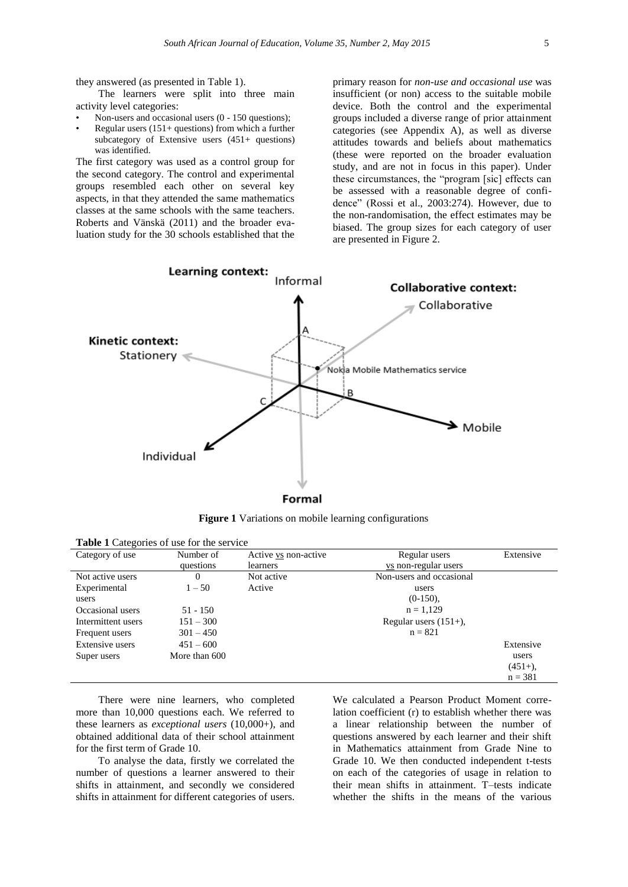they answered (as presented in Table 1).

The learners were split into three main activity level categories:

- Non-users and occasional users (0 150 questions);
- Regular users  $(151+$  questions) from which a further subcategory of Extensive users (451+ questions) was identified.

The first category was used as a control group for the second category. The control and experimental groups resembled each other on several key aspects, in that they attended the same mathematics classes at the same schools with the same teachers. Roberts and Vänskä (2011) and the broader evaluation study for the 30 schools established that the primary reason for *non-use and occasional use* was insufficient (or non) access to the suitable mobile device. Both the control and the experimental groups included a diverse range of prior attainment categories (see Appendix A), as well as diverse attitudes towards and beliefs about mathematics (these were reported on the broader evaluation study, and are not in focus in this paper). Under these circumstances, the "program [sic] effects can be assessed with a reasonable degree of confidence" (Rossi et al., 2003:274). However, due to the non-randomisation, the effect estimates may be biased. The group sizes for each category of user are presented in Figure 2.



**Figure 1** Variations on mobile learning configurations

**Table 1** Categories of use for the service

| <b>THERE</b> I CHICKOTICS OF HIS TOT HIS SOFTICE |               |                      |                          |            |  |
|--------------------------------------------------|---------------|----------------------|--------------------------|------------|--|
| Category of use                                  | Number of     | Active vs non-active | Regular users            | Extensive  |  |
|                                                  | questions     | learners             | vs non-regular users     |            |  |
| Not active users                                 | 0             | Not active           | Non-users and occasional |            |  |
| Experimental                                     | $1 - 50$      | Active               | users                    |            |  |
| users                                            |               |                      | $(0-150)$ ,              |            |  |
| Occasional users                                 | $51 - 150$    |                      | $n = 1,129$              |            |  |
| Intermittent users                               | $151 - 300$   |                      | Regular users $(151+)$ , |            |  |
| Frequent users                                   | $301 - 450$   |                      | $n = 821$                |            |  |
| Extensive users                                  | $451 - 600$   |                      |                          | Extensive  |  |
| Super users                                      | More than 600 |                      |                          | users      |  |
|                                                  |               |                      |                          | $(451+)$ , |  |
|                                                  |               |                      |                          | $n = 381$  |  |

There were nine learners, who completed more than 10,000 questions each. We referred to these learners as *exceptional users* (10,000+), and obtained additional data of their school attainment for the first term of Grade 10.

To analyse the data, firstly we correlated the number of questions a learner answered to their shifts in attainment, and secondly we considered shifts in attainment for different categories of users.

We calculated a Pearson Product Moment correlation coefficient (r) to establish whether there was a linear relationship between the number of questions answered by each learner and their shift in Mathematics attainment from Grade Nine to Grade 10. We then conducted independent t-tests on each of the categories of usage in relation to their mean shifts in attainment. T–tests indicate whether the shifts in the means of the various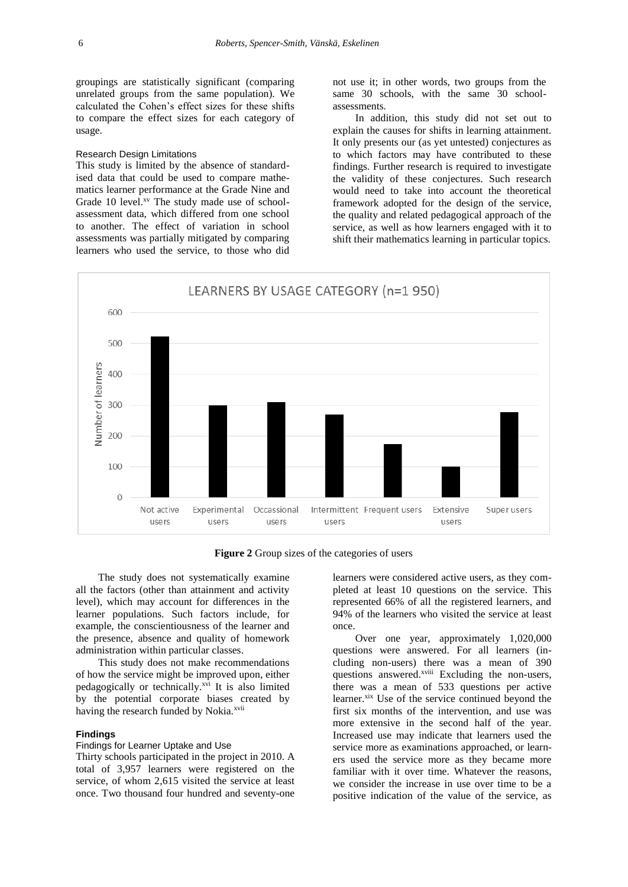groupings are statistically significant (comparing unrelated groups from the same population). We calculated the Cohen's effect sizes for these shifts to compare the effect sizes for each category of usage.

#### Research Design Limitations

This study is limited by the absence of standardised data that could be used to compare mathematics learner performance at the Grade Nine and Grade 10 level.<sup>xv</sup> The study made use of schoolassessment data, which differed from one school to another. The effect of variation in school assessments was partially mitigated by comparing learners who used the service, to those who did not use it; in other words, two groups from the same 30 schools, with the same 30 schoolassessments.

In addition, this study did not set out to explain the causes for shifts in learning attainment. It only presents our (as yet untested) conjectures as to which factors may have contributed to these findings. Further research is required to investigate the validity of these conjectures. Such research would need to take into account the theoretical framework adopted for the design of the service, the quality and related pedagogical approach of the service, as well as how learners engaged with it to shift their mathematics learning in particular topics.



**Figure 2** Group sizes of the categories of users

The study does not systematically examine all the factors (other than attainment and activity level), which may account for differences in the learner populations. Such factors include, for example, the conscientiousness of the learner and the presence, absence and quality of homework administration within particular classes.

This study does not make recommendations of how the service might be improved upon, either pedagogically or technically.<sup>xvi</sup> It is also limited by the potential corporate biases created by having the research funded by Nokia.<sup>xvii</sup>

## **Findings**

### Findings for Learner Uptake and Use

Thirty schools participated in the project in 2010. A total of 3,957 learners were registered on the service, of whom 2,615 visited the service at least once. Two thousand four hundred and seventy-one

learners were considered active users, as they completed at least 10 questions on the service. This represented 66% of all the registered learners, and 94% of the learners who visited the service at least once.

Over one year, approximately 1,020,000 questions were answered. For all learners (including non-users) there was a mean of 390 questions answered.<sup>xviii</sup> Excluding the non-users, there was a mean of 533 questions per active learner.<sup>xix</sup> Use of the service continued beyond the first six months of the intervention, and use was more extensive in the second half of the year. Increased use may indicate that learners used the service more as examinations approached, or learners used the service more as they became more familiar with it over time. Whatever the reasons, we consider the increase in use over time to be a positive indication of the value of the service, as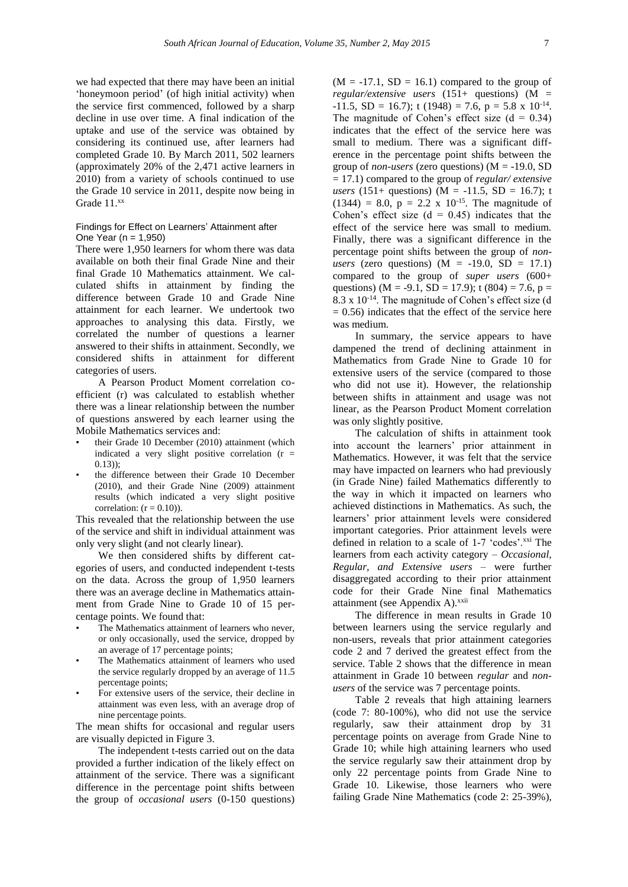we had expected that there may have been an initial 'honeymoon period' (of high initial activity) when the service first commenced, followed by a sharp decline in use over time. A final indication of the uptake and use of the service was obtained by considering its continued use, after learners had completed Grade 10. By March 2011, 502 learners (approximately 20% of the 2,471 active learners in 2010) from a variety of schools continued to use the Grade 10 service in 2011, despite now being in Grade  $11.^{xx}$ 

### Findings for Effect on Learners' Attainment after One Year ( $n = 1,950$ )

There were 1,950 learners for whom there was data available on both their final Grade Nine and their final Grade 10 Mathematics attainment. We calculated shifts in attainment by finding the difference between Grade 10 and Grade Nine attainment for each learner. We undertook two approaches to analysing this data. Firstly, we correlated the number of questions a learner answered to their shifts in attainment. Secondly, we considered shifts in attainment for different categories of users.

A Pearson Product Moment correlation coefficient (r) was calculated to establish whether there was a linear relationship between the number of questions answered by each learner using the Mobile Mathematics services and:

- their Grade 10 December (2010) attainment (which indicated a very slight positive correlation  $(r =$ 0.13));
- the difference between their Grade 10 December (2010), and their Grade Nine (2009) attainment results (which indicated a very slight positive correlation:  $(r = 0.10)$ ).

This revealed that the relationship between the use of the service and shift in individual attainment was only very slight (and not clearly linear).

We then considered shifts by different categories of users, and conducted independent t-tests on the data. Across the group of 1,950 learners there was an average decline in Mathematics attainment from Grade Nine to Grade 10 of 15 percentage points. We found that:

- The Mathematics attainment of learners who never, or only occasionally, used the service, dropped by an average of 17 percentage points;
- The Mathematics attainment of learners who used the service regularly dropped by an average of 11.5 percentage points;
- For extensive users of the service, their decline in attainment was even less, with an average drop of nine percentage points.

The mean shifts for occasional and regular users are visually depicted in Figure 3.

The independent t-tests carried out on the data provided a further indication of the likely effect on attainment of the service. There was a significant difference in the percentage point shifts between the group of *occasional users* (0-150 questions)  $(M = -17.1, SD = 16.1)$  compared to the group of *regular/extensive users*  $(151+$  questions)  $(M =$  $-11.5$ , SD = 16.7); t (1948) = 7.6, p = 5.8 x 10<sup>-14</sup>. The magnitude of Cohen's effect size  $(d = 0.34)$ indicates that the effect of the service here was small to medium. There was a significant difference in the percentage point shifts between the group of *non-users* (zero questions) (M = -19.0, SD = 17.1) compared to the group of *regular/ extensive users* (151+ questions) ( $M = -11.5$ , SD = 16.7); t  $(1344) = 8.0$ ,  $p = 2.2$  x  $10^{-15}$ . The magnitude of Cohen's effect size  $(d = 0.45)$  indicates that the effect of the service here was small to medium. Finally, there was a significant difference in the percentage point shifts between the group of *nonusers* (zero questions)  $(M = -19.0, SD = 17.1)$ compared to the group of *super users* (600+ questions) (M = -9.1, SD = 17.9); t (804) = 7.6, p =  $8.3 \times 10^{-14}$ . The magnitude of Cohen's effect size (d)  $= 0.56$ ) indicates that the effect of the service here was medium.

In summary, the service appears to have dampened the trend of declining attainment in Mathematics from Grade Nine to Grade 10 for extensive users of the service (compared to those who did not use it). However, the relationship between shifts in attainment and usage was not linear, as the Pearson Product Moment correlation was only slightly positive.

The calculation of shifts in attainment took into account the learners' prior attainment in Mathematics. However, it was felt that the service may have impacted on learners who had previously (in Grade Nine) failed Mathematics differently to the way in which it impacted on learners who achieved distinctions in Mathematics. As such, the learners' prior attainment levels were considered important categories. Prior attainment levels were defined in relation to a scale of 1-7 'codes'.<sup>xxi</sup> The learners from each activity category – *Occasional, Regular, and Extensive users* – were further disaggregated according to their prior attainment code for their Grade Nine final Mathematics attainment (see Appendix A).<sup>xxii</sup>

The difference in mean results in Grade 10 between learners using the service regularly and non-users, reveals that prior attainment categories code 2 and 7 derived the greatest effect from the service. Table 2 shows that the difference in mean attainment in Grade 10 between *regular* and *nonusers* of the service was 7 percentage points.

Table 2 reveals that high attaining learners (code 7: 80-100%), who did not use the service regularly, saw their attainment drop by 31 percentage points on average from Grade Nine to Grade 10; while high attaining learners who used the service regularly saw their attainment drop by only 22 percentage points from Grade Nine to Grade 10. Likewise, those learners who were failing Grade Nine Mathematics (code 2: 25-39%),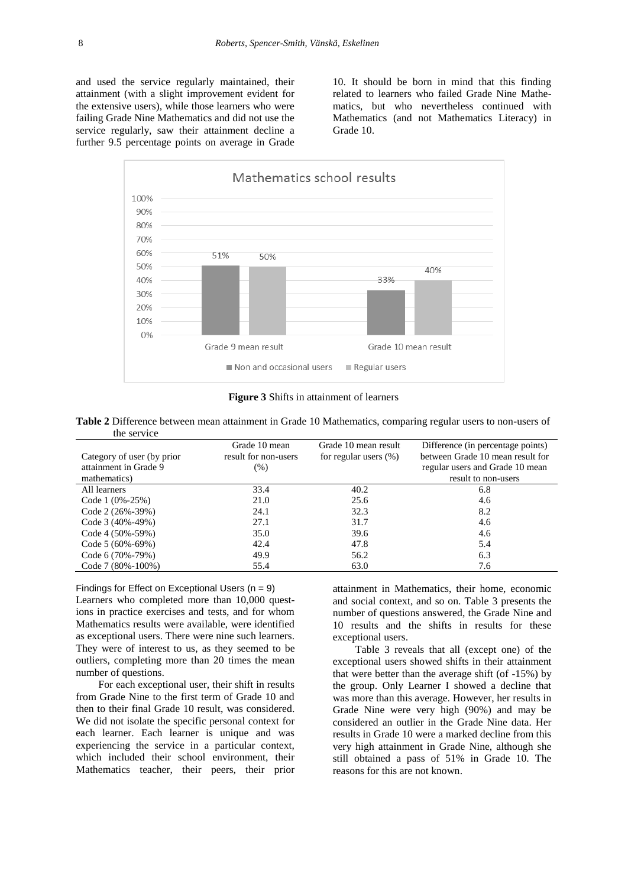and used the service regularly maintained, their attainment (with a slight improvement evident for the extensive users), while those learners who were failing Grade Nine Mathematics and did not use the service regularly, saw their attainment decline a further 9.5 percentage points on average in Grade

10. It should be born in mind that this finding related to learners who failed Grade Nine Mathematics, but who nevertheless continued with Mathematics (and not Mathematics Literacy) in Grade 10.



**Figure 3** Shifts in attainment of learners

| Table 2 Difference between mean attainment in Grade 10 Mathematics, comparing regular users to non-users of |  |  |
|-------------------------------------------------------------------------------------------------------------|--|--|
| the service                                                                                                 |  |  |

|                            | Grade 10 mean        | Grade 10 mean result     | Difference (in percentage points) |
|----------------------------|----------------------|--------------------------|-----------------------------------|
| Category of user (by prior | result for non-users | for regular users $(\%)$ | between Grade 10 mean result for  |
| attainment in Grade 9      | $(\%)$               |                          | regular users and Grade 10 mean   |
| mathematics)               |                      |                          | result to non-users               |
| All learners               | 33.4                 | 40.2                     | 6.8                               |
| Code $1(0\% - 25\%)$       | 21.0                 | 25.6                     | 4.6                               |
| Code $2(26\% - 39\%)$      | 24.1                 | 32.3                     | 8.2                               |
| Code $3(40\% - 49\%)$      | 27.1                 | 31.7                     | 4.6                               |
| Code $4(50\% - 59\%)$      | 35.0                 | 39.6                     | 4.6                               |
| Code $5(60\% - 69\%)$      | 42.4                 | 47.8                     | 5.4                               |
| Code 6 (70%-79%)           | 49.9                 | 56.2                     | 6.3                               |
| Code $7(80\% - 100\%)$     | 55.4                 | 63.0                     | 7.6                               |

Findings for Effect on Exceptional Users  $(n = 9)$ Learners who completed more than 10,000 questions in practice exercises and tests, and for whom Mathematics results were available, were identified as exceptional users. There were nine such learners. They were of interest to us, as they seemed to be outliers, completing more than 20 times the mean number of questions.

For each exceptional user, their shift in results from Grade Nine to the first term of Grade 10 and then to their final Grade 10 result, was considered. We did not isolate the specific personal context for each learner. Each learner is unique and was experiencing the service in a particular context, which included their school environment, their Mathematics teacher, their peers, their prior

attainment in Mathematics, their home, economic and social context, and so on. Table 3 presents the number of questions answered, the Grade Nine and 10 results and the shifts in results for these exceptional users.

Table 3 reveals that all (except one) of the exceptional users showed shifts in their attainment that were better than the average shift (of -15%) by the group. Only Learner I showed a decline that was more than this average. However, her results in Grade Nine were very high (90%) and may be considered an outlier in the Grade Nine data. Her results in Grade 10 were a marked decline from this very high attainment in Grade Nine, although she still obtained a pass of 51% in Grade 10. The reasons for this are not known.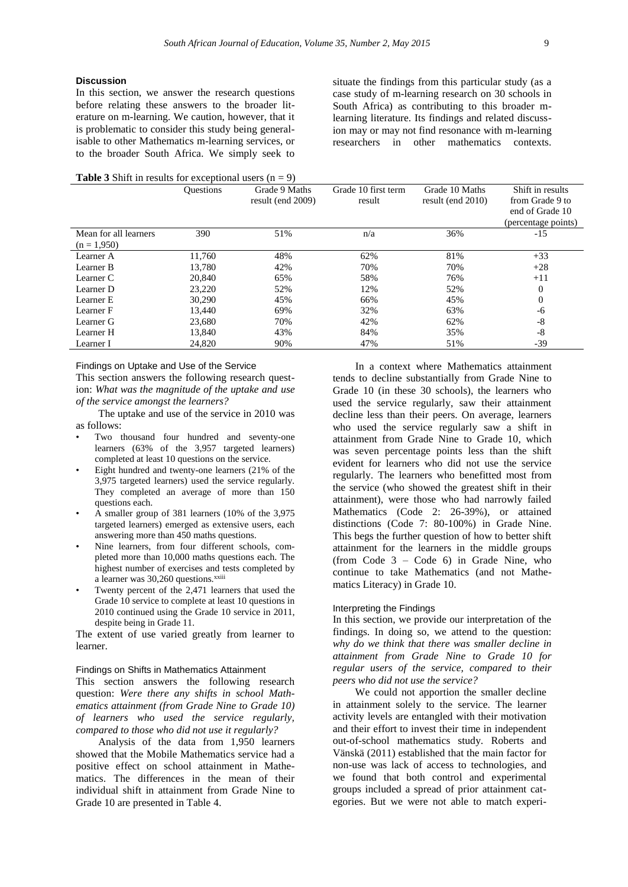# **Discussion**

In this section, we answer the research questions before relating these answers to the broader literature on m-learning. We caution, however, that it is problematic to consider this study being generalisable to other Mathematics m-learning services, or to the broader South Africa. We simply seek to

situate the findings from this particular study (as a case study of m-learning research on 30 schools in South Africa) as contributing to this broader mlearning literature. Its findings and related discussion may or may not find resonance with m-learning researchers in other mathematics contexts.

**Table 3** Shift in results for exceptional users  $(n = 9)$ 

|                       | <b>Questions</b> | Grade 9 Maths<br>result (end 2009) | Grade 10 first term<br>result | Grade 10 Maths<br>result (end 2010) | Shift in results<br>from Grade 9 to<br>end of Grade 10<br>(percentage points) |
|-----------------------|------------------|------------------------------------|-------------------------------|-------------------------------------|-------------------------------------------------------------------------------|
| Mean for all learners | 390              | 51%                                | n/a                           | 36%                                 | $-15$                                                                         |
| $(n = 1,950)$         |                  |                                    |                               |                                     |                                                                               |
| Learner A             | 11.760           | 48%                                | 62%                           | 81%                                 | $+33$                                                                         |
| Learner B             | 13,780           | 42%                                | 70%                           | 70%                                 | $+28$                                                                         |
| Learner C             | 20,840           | 65%                                | 58%                           | 76%                                 | $+11$                                                                         |
| Learner D             | 23,220           | 52%                                | 12%                           | 52%                                 | $\theta$                                                                      |
| Learner E             | 30.290           | 45%                                | 66%                           | 45%                                 | $\theta$                                                                      |
| Learner F             | 13.440           | 69%                                | 32%                           | 63%                                 | -6                                                                            |
| Learner G             | 23,680           | 70%                                | 42%                           | 62%                                 | $-8$                                                                          |
| Learner H             | 13.840           | 43%                                | 84%                           | 35%                                 | $-8$                                                                          |
| Learner I             | 24,820           | 90%                                | 47%                           | 51%                                 | $-39$                                                                         |

Findings on Uptake and Use of the Service

This section answers the following research question: *What was the magnitude of the uptake and use of the service amongst the learners?*

The uptake and use of the service in 2010 was as follows:

- Two thousand four hundred and seventy-one learners (63% of the 3,957 targeted learners) completed at least 10 questions on the service.
- Eight hundred and twenty-one learners (21% of the 3,975 targeted learners) used the service regularly. They completed an average of more than 150 questions each.
- A smaller group of 381 learners (10% of the 3,975 targeted learners) emerged as extensive users, each answering more than 450 maths questions.
- Nine learners, from four different schools, completed more than 10,000 maths questions each. The highest number of exercises and tests completed by a learner was 30,260 questions.<sup>xxiii</sup>
- Twenty percent of the 2,471 learners that used the Grade 10 service to complete at least 10 questions in 2010 continued using the Grade 10 service in 2011, despite being in Grade 11.

The extent of use varied greatly from learner to learner.

#### Findings on Shifts in Mathematics Attainment

This section answers the following research question: *Were there any shifts in school Mathematics attainment (from Grade Nine to Grade 10) of learners who used the service regularly, compared to those who did not use it regularly?*

Analysis of the data from 1,950 learners showed that the Mobile Mathematics service had a positive effect on school attainment in Mathematics. The differences in the mean of their individual shift in attainment from Grade Nine to Grade 10 are presented in Table 4.

In a context where Mathematics attainment tends to decline substantially from Grade Nine to Grade 10 (in these 30 schools), the learners who used the service regularly, saw their attainment decline less than their peers. On average, learners who used the service regularly saw a shift in attainment from Grade Nine to Grade 10, which was seven percentage points less than the shift evident for learners who did not use the service regularly. The learners who benefitted most from the service (who showed the greatest shift in their attainment), were those who had narrowly failed Mathematics (Code 2: 26-39%), or attained distinctions (Code 7: 80-100%) in Grade Nine. This begs the further question of how to better shift attainment for the learners in the middle groups (from Code 3 – Code 6) in Grade Nine, who continue to take Mathematics (and not Mathematics Literacy) in Grade 10.

### Interpreting the Findings

In this section, we provide our interpretation of the findings. In doing so, we attend to the question: *why do we think that there was smaller decline in attainment from Grade Nine to Grade 10 for regular users of the service, compared to their peers who did not use the service?*

We could not apportion the smaller decline in attainment solely to the service. The learner activity levels are entangled with their motivation and their effort to invest their time in independent out-of-school mathematics study. Roberts and Vänskä (2011) established that the main factor for non-use was lack of access to technologies, and we found that both control and experimental groups included a spread of prior attainment categories. But we were not able to match experi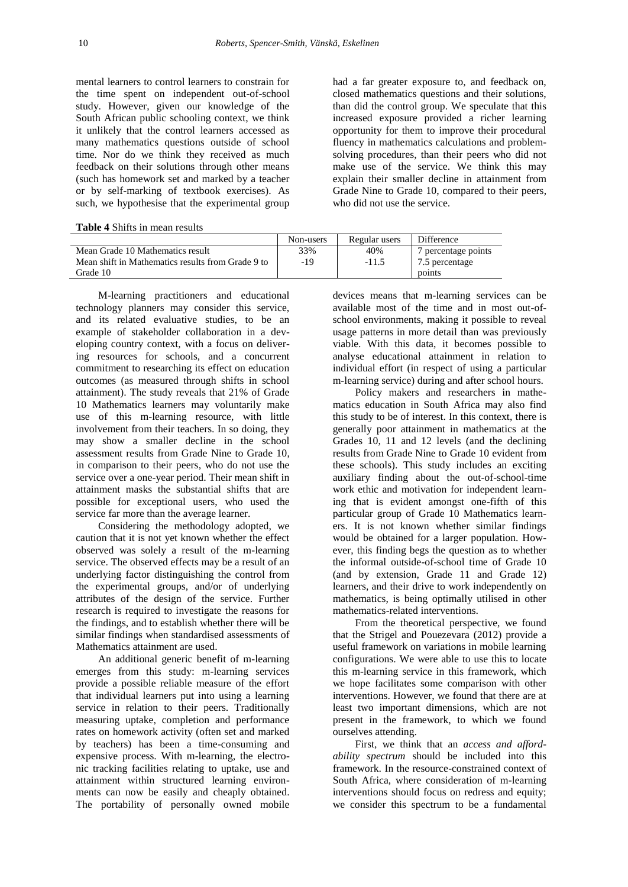mental learners to control learners to constrain for the time spent on independent out-of-school study. However, given our knowledge of the South African public schooling context, we think it unlikely that the control learners accessed as many mathematics questions outside of school time. Nor do we think they received as much feedback on their solutions through other means (such has homework set and marked by a teacher or by self-marking of textbook exercises). As such, we hypothesise that the experimental group had a far greater exposure to, and feedback on, closed mathematics questions and their solutions, than did the control group. We speculate that this increased exposure provided a richer learning opportunity for them to improve their procedural fluency in mathematics calculations and problemsolving procedures, than their peers who did not make use of the service. We think this may explain their smaller decline in attainment from Grade Nine to Grade 10, compared to their peers, who did not use the service.

| <b>Table 4 Shifts in mean results</b> |  |
|---------------------------------------|--|
|---------------------------------------|--|

|                                                   | Non-users | Regular users | <b>Difference</b>   |
|---------------------------------------------------|-----------|---------------|---------------------|
| Mean Grade 10 Mathematics result                  | 33%       | 40%           | 7 percentage points |
| Mean shift in Mathematics results from Grade 9 to | -19       | $-11.5$       | 7.5 percentage      |
| Grade 10                                          |           |               | points              |

M-learning practitioners and educational technology planners may consider this service, and its related evaluative studies, to be an example of stakeholder collaboration in a developing country context, with a focus on delivering resources for schools, and a concurrent commitment to researching its effect on education outcomes (as measured through shifts in school attainment). The study reveals that 21% of Grade 10 Mathematics learners may voluntarily make use of this m-learning resource, with little involvement from their teachers. In so doing, they may show a smaller decline in the school assessment results from Grade Nine to Grade 10, in comparison to their peers, who do not use the service over a one-year period. Their mean shift in attainment masks the substantial shifts that are possible for exceptional users, who used the service far more than the average learner.

Considering the methodology adopted, we caution that it is not yet known whether the effect observed was solely a result of the m-learning service. The observed effects may be a result of an underlying factor distinguishing the control from the experimental groups, and/or of underlying attributes of the design of the service. Further research is required to investigate the reasons for the findings, and to establish whether there will be similar findings when standardised assessments of Mathematics attainment are used.

An additional generic benefit of m-learning emerges from this study: m-learning services provide a possible reliable measure of the effort that individual learners put into using a learning service in relation to their peers. Traditionally measuring uptake, completion and performance rates on homework activity (often set and marked by teachers) has been a time-consuming and expensive process. With m-learning, the electronic tracking facilities relating to uptake, use and attainment within structured learning environments can now be easily and cheaply obtained. The portability of personally owned mobile devices means that m-learning services can be available most of the time and in most out-ofschool environments, making it possible to reveal usage patterns in more detail than was previously viable. With this data, it becomes possible to analyse educational attainment in relation to individual effort (in respect of using a particular m-learning service) during and after school hours.

Policy makers and researchers in mathematics education in South Africa may also find this study to be of interest. In this context, there is generally poor attainment in mathematics at the Grades 10, 11 and 12 levels (and the declining results from Grade Nine to Grade 10 evident from these schools). This study includes an exciting auxiliary finding about the out-of-school-time work ethic and motivation for independent learning that is evident amongst one-fifth of this particular group of Grade 10 Mathematics learners. It is not known whether similar findings would be obtained for a larger population. However, this finding begs the question as to whether the informal outside-of-school time of Grade 10 (and by extension, Grade 11 and Grade 12) learners, and their drive to work independently on mathematics, is being optimally utilised in other mathematics-related interventions.

From the theoretical perspective, we found that the Strigel and Pouezevara (2012) provide a useful framework on variations in mobile learning configurations. We were able to use this to locate this m-learning service in this framework, which we hope facilitates some comparison with other interventions. However, we found that there are at least two important dimensions, which are not present in the framework, to which we found ourselves attending.

First, we think that an *access and affordability spectrum* should be included into this framework. In the resource-constrained context of South Africa, where consideration of m-learning interventions should focus on redress and equity; we consider this spectrum to be a fundamental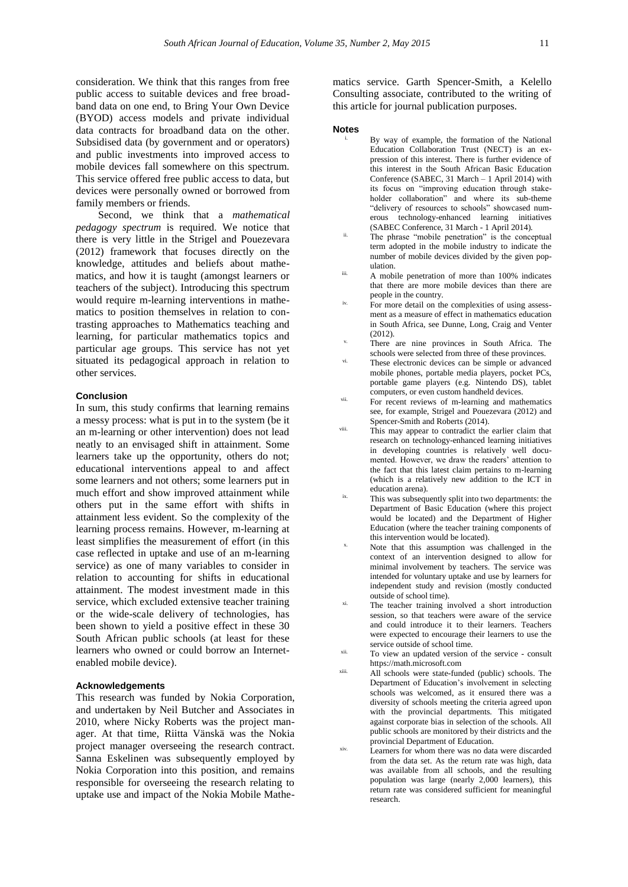consideration. We think that this ranges from free public access to suitable devices and free broadband data on one end, to Bring Your Own Device (BYOD) access models and private individual data contracts for broadband data on the other. Subsidised data (by government and or operators) and public investments into improved access to mobile devices fall somewhere on this spectrum. This service offered free public access to data, but devices were personally owned or borrowed from family members or friends.

Second, we think that a *mathematical pedagogy spectrum* is required*.* We notice that there is very little in the Strigel and Pouezevara (2012) framework that focuses directly on the knowledge, attitudes and beliefs about mathematics, and how it is taught (amongst learners or teachers of the subject). Introducing this spectrum would require m-learning interventions in mathematics to position themselves in relation to contrasting approaches to Mathematics teaching and learning, for particular mathematics topics and particular age groups. This service has not yet situated its pedagogical approach in relation to other services.

### **Conclusion**

In sum, this study confirms that learning remains a messy process: what is put in to the system (be it an m-learning or other intervention) does not lead neatly to an envisaged shift in attainment. Some learners take up the opportunity, others do not; educational interventions appeal to and affect some learners and not others; some learners put in much effort and show improved attainment while others put in the same effort with shifts in attainment less evident. So the complexity of the learning process remains. However, m-learning at least simplifies the measurement of effort (in this case reflected in uptake and use of an m-learning service) as one of many variables to consider in relation to accounting for shifts in educational attainment. The modest investment made in this service, which excluded extensive teacher training or the wide-scale delivery of technologies, has been shown to yield a positive effect in these 30 South African public schools (at least for these learners who owned or could borrow an Internetenabled mobile device).

### **Acknowledgements**

This research was funded by Nokia Corporation, and undertaken by Neil Butcher and Associates in 2010, where Nicky Roberts was the project manager. At that time, Riitta Vänskä was the Nokia project manager overseeing the research contract. Sanna Eskelinen was subsequently employed by Nokia Corporation into this position, and remains responsible for overseeing the research relating to uptake use and impact of the Nokia Mobile Mathematics service. Garth Spencer-Smith, a Kelello Consulting associate, contributed to the writing of this article for journal publication purposes.

#### **Notes**

- By way of example, the formation of the National Education Collaboration Trust (NECT) is an expression of this interest. There is further evidence of this interest in the South African Basic Education Conference (SABEC, 31 March – 1 April 2014) with its focus on "improving education through stakeholder collaboration" and where its sub-theme "delivery of resources to schools" showcased numerous technology-enhanced learning initiatives (SABEC Conference, 31 March - 1 April 2014).
- ii. The phrase "mobile penetration" is the conceptual term adopted in the mobile industry to indicate the number of mobile devices divided by the given population.
- iii. A mobile penetration of more than 100% indicates that there are more mobile devices than there are people in the country.
- iv. For more detail on the complexities of using assessment as a measure of effect in mathematics education in South Africa, see Dunne, Long, Craig and Venter (2012).
- There are nine provinces in South Africa. The schools were selected from three of these provinces.
- vi. These electronic devices can be simple or advanced mobile phones, portable media players, pocket PCs, portable game players (e.g. Nintendo DS), tablet computers, or even custom handheld devices.
- vii. For recent reviews of m-learning and mathematics see, for example, Strigel and Pouezevara (2012) and Spencer-Smith and Roberts (2014).
- viii. This may appear to contradict the earlier claim that research on technology-enhanced learning initiatives in developing countries is relatively well documented. However, we draw the readers' attention to the fact that this latest claim pertains to m-learning (which is a relatively new addition to the ICT in education arena).
- This was subsequently split into two departments: the Department of Basic Education (where this project would be located) and the Department of Higher Education (where the teacher training components of this intervention would be located).
- Note that this assumption was challenged in the context of an intervention designed to allow for minimal involvement by teachers. The service was intended for voluntary uptake and use by learners for independent study and revision (mostly conducted outside of school time).
- xi. The teacher training involved a short introduction session, so that teachers were aware of the service and could introduce it to their learners. Teachers were expected to encourage their learners to use the service outside of school time.
- xii. To view an updated version of the service consult [https://math.microsoft.com](https://math.microsoft.com/)
- xiii. All schools were state-funded (public) schools. The Department of Education's involvement in selecting schools was welcomed, as it ensured there was a diversity of schools meeting the criteria agreed upon with the provincial departments. This mitigated against corporate bias in selection of the schools. All public schools are monitored by their districts and the provincial Department of Education.
- Learners for whom there was no data were discarded from the data set. As the return rate was high, data was available from all schools, and the resulting population was large (nearly 2,000 learners), this return rate was considered sufficient for meaningful research.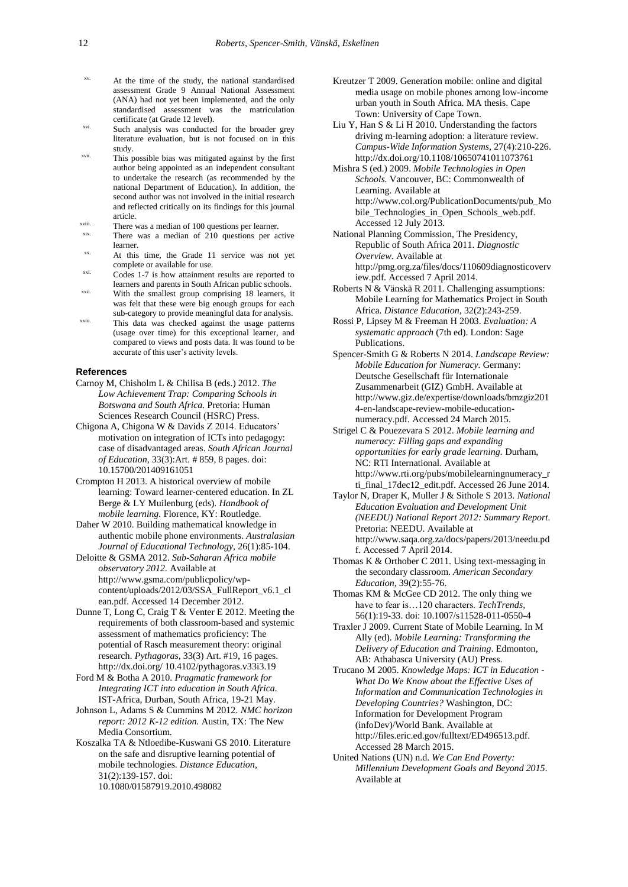- xv. At the time of the study, the national standardised assessment Grade 9 Annual National Assessment (ANA) had not yet been implemented, and the only standardised assessment was the matriculation certificate (at Grade 12 level).
- Such analysis was conducted for the broader grey literature evaluation, but is not focused on in this study.
- xvii. This possible bias was mitigated against by the first author being appointed as an independent consultant to undertake the research (as recommended by the national Department of Education). In addition, the second author was not involved in the initial research and reflected critically on its findings for this journal article.
- xviii. There was a median of 100 questions per learner.
- There was a median of  $210$  questions per active learner.
- At this time, the Grade 11 service was not yet complete or available for use.
- xxi. Codes 1-7 is how attainment results are reported to learners and parents in South African public schools.
- xxii. With the smallest group comprising 18 learners, it was felt that these were big enough groups for each sub-category to provide meaningful data for analysis.
- xxiii. This data was checked against the usage patterns (usage over time) for this exceptional learner, and compared to views and posts data. It was found to be accurate of this user's activity levels.

### **References**

- Carnoy M, Chisholm L & Chilisa B (eds.) 2012. *The Low Achievement Trap: Comparing Schools in Botswana and South Africa.* Pretoria: Human Sciences Research Council (HSRC) Press.
- Chigona A, Chigona W & Davids Z 2014. Educators' motivation on integration of ICTs into pedagogy: case of disadvantaged areas. *South African Journal of Education,* 33(3):Art. # 859, 8 pages. doi: [10.15700/201409161051](http://www.sajournalofeducation.co.za/index.php/saje/article/view/859/449)
- Crompton H 2013. A historical overview of mobile learning: Toward learner-centered education. In ZL Berge & LY Muilenburg (eds). *Handbook of mobile learning.* Florence, KY: Routledge.
- Daher W 2010. Building mathematical knowledge in authentic mobile phone environments. *Australasian Journal of Educational Technology,* 26(1):85-104.
- Deloitte & GSMA 2012. *Sub-Saharan Africa mobile observatory 2012.* Available at [http://www.gsma.com/publicpolicy/wp](http://www.gsma.com/publicpolicy/wp-content/uploads/2012/03/SSA_FullReport_v6.1_clean.pdf)[content/uploads/2012/03/SSA\\_FullReport\\_v6.1\\_cl](http://www.gsma.com/publicpolicy/wp-content/uploads/2012/03/SSA_FullReport_v6.1_clean.pdf) [ean.pdf.](http://www.gsma.com/publicpolicy/wp-content/uploads/2012/03/SSA_FullReport_v6.1_clean.pdf) Accessed 14 December 2012.
- Dunne T, Long C, Craig T & Venter E 2012. Meeting the requirements of both classroom-based and systemic assessment of mathematics proficiency: The potential of Rasch measurement theory: original research. *Pythagoras,* 33(3) Art. #19, 16 pages. http://dx.doi.org/ 10.4102/pythagoras.v33i3.19
- Ford M & Botha A 2010. *Pragmatic framework for Integrating ICT into education in South Africa.* IST-Africa, Durban, South Africa, 19-21 May.
- Johnson L, Adams S & Cummins M 2012. *NMC horizon report: 2012 K-12 edition.* Austin, TX: The New Media Consortium.
- Koszalka TA & Ntloedibe-Kuswani GS 2010. Literature on the safe and disruptive learning potential of mobile technologies. *Distance Education,*  31(2):139-157. [doi:](http://www.tandfonline.com/doi/abs/10.1080/01587919.2010.498082#.VQ56045qxH8)  [10.1080/01587919.2010.498082](http://www.tandfonline.com/doi/abs/10.1080/01587919.2010.498082#.VQ56045qxH8)
- Kreutzer T 2009. Generation mobile: online and digital media usage on mobile phones among low-income urban youth in South Africa. MA thesis. Cape Town: University of Cape Town.
- Liu Y, Han S & Li H 2010. Understanding the factors driving m-learning adoption: a literature review. *Campus-Wide Information Systems,* 27(4):210-226. http://dx.doi.org/10.1108/10650741011073761
- Mishra S (ed.) 2009. *Mobile Technologies in Open Schools.* Vancouver, BC: Commonwealth of Learning. Available at [http://www.col.org/PublicationDocuments/pub\\_Mo](http://www.col.org/PublicationDocuments/pub_Mobile_Technologies_in_Open_Schools_web.pdf) [bile\\_Technologies\\_in\\_Open\\_Schools\\_web.pdf.](http://www.col.org/PublicationDocuments/pub_Mobile_Technologies_in_Open_Schools_web.pdf) Accessed 12 July 2013.
- National Planning Commission, The Presidency, Republic of South Africa 2011. *Diagnostic Overview.* Available at [http://pmg.org.za/files/docs/110609diagnosticoverv](http://pmg.org.za/files/docs/110609diagnosticoverview.pdf) [iew.pdf.](http://pmg.org.za/files/docs/110609diagnosticoverview.pdf) Accessed 7 April 2014.
- Roberts N & Vänskä R 2011. Challenging assumptions: Mobile Learning for Mathematics Project in South Africa. *Distance Education,* 32(2):243-259.
- Rossi P, Lipsey M & Freeman H 2003. *Evaluation: A systematic approach* (7th ed). London: Sage Publications.
- Spencer-Smith G & Roberts N 2014. *Landscape Review: Mobile Education for Numeracy.* Germany: Deutsche Gesellschaft für Internationale Zusammenarbeit (GIZ) GmbH. Available at [http://www.giz.de/expertise/downloads/bmzgiz201](http://www.giz.de/expertise/downloads/bmzgiz2014-en-landscape-review-mobile-education-numeracy.pdf) [4-en-landscape-review-mobile-education](http://www.giz.de/expertise/downloads/bmzgiz2014-en-landscape-review-mobile-education-numeracy.pdf)[numeracy.pdf.](http://www.giz.de/expertise/downloads/bmzgiz2014-en-landscape-review-mobile-education-numeracy.pdf) Accessed 24 March 2015.
- Strigel C & Pouezevara S 2012. *Mobile learning and numeracy: Filling gaps and expanding opportunities for early grade learning.* Durham, NC: RTI International. Available at [http://www.rti.org/pubs/mobilelearningnumeracy\\_r](http://www.rti.org/pubs/mobilelearningnumeracy_rti_final_17dec12_edit.pdf) [ti\\_final\\_17dec12\\_edit.pdf.](http://www.rti.org/pubs/mobilelearningnumeracy_rti_final_17dec12_edit.pdf) Accessed 26 June 2014.
- Taylor N, Draper K, Muller J & Sithole S 2013. *National Education Evaluation and Development Unit (NEEDU) National Report 2012: Summary Report.* Pretoria: NEEDU. Available at [http://www.saqa.org.za/docs/papers/2013/needu.pd](http://www.saqa.org.za/docs/papers/2013/needu.pdf) [f.](http://www.saqa.org.za/docs/papers/2013/needu.pdf) Accessed 7 April 2014.
- Thomas K & Orthober C 2011. Using text-messaging in the secondary classroom. *American Secondary Education,* 39(2):55-76.
- Thomas KM & McGee CD 2012. The only thing we have to fear is…120 characters. *TechTrends,*  56(1):19-33. [doi: 10.1007/s11528-011-0550-4](http://link.springer.com/article/10.1007%2Fs11528-011-0550-4)
- Traxler J 2009. Current State of Mobile Learning. In M Ally (ed). *Mobile Learning: Transforming the Delivery of Education and Training.* Edmonton, AB: Athabasca University (AU) Press.
- Trucano M 2005. *Knowledge Maps: ICT in Education - What Do We Know about the Effective Uses of Information and Communication Technologies in Developing Countries?* Washington, DC: Information for Development Program (infoDev)/World Bank. Available at [http://files.eric.ed.gov/fulltext/ED496513.pdf.](http://files.eric.ed.gov/fulltext/ED496513.pdf) Accessed 28 March 2015.
- United Nations (UN) n.d. *We Can End Poverty: Millennium Development Goals and Beyond 2015.*  Available at